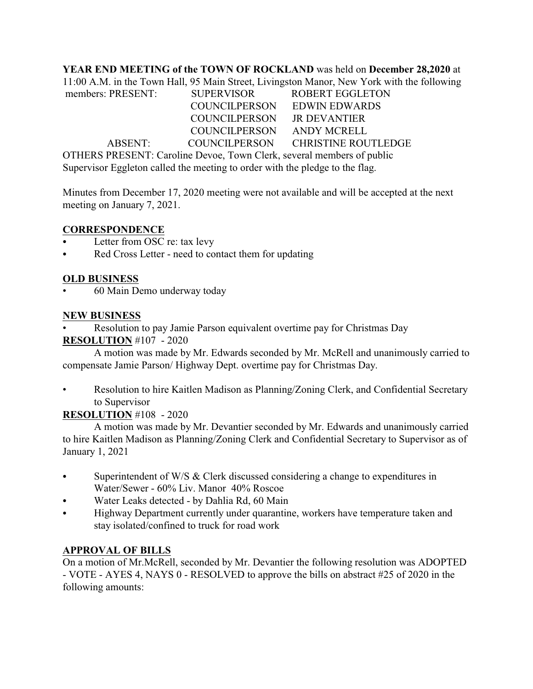**YEAR END MEETING of the TOWN OF ROCKLAND** was held on **December 28,2020** at

11:00 A.M. in the Town Hall, 95 Main Street, Livingston Manor, New York with the following members: PRESENT: SUPERVISOR ROBERT EGGLETON COUNCILPERSON EDWIN EDWARDS COUNCILPERSON JR DEVANTIER COUNCILPERSON ANDY MCRELL ABSENT: COUNCILPERSON CHRISTINE ROUTLEDGE OTHERS PRESENT: Caroline Devoe, Town Clerk, several members of public

Supervisor Eggleton called the meeting to order with the pledge to the flag.

Minutes from December 17, 2020 meeting were not available and will be accepted at the next meeting on January 7, 2021.

## **CORRESPONDENCE**

- Letter from OSC re: tax levy
- Red Cross Letter need to contact them for updating

#### **OLD BUSINESS**

• 60 Main Demo underway today

#### **NEW BUSINESS**

• Resolution to pay Jamie Parson equivalent overtime pay for Christmas Day

#### **RESOLUTION** #107 - 2020

A motion was made by Mr. Edwards seconded by Mr. McRell and unanimously carried to compensate Jamie Parson/ Highway Dept. overtime pay for Christmas Day.

• Resolution to hire Kaitlen Madison as Planning/Zoning Clerk, and Confidential Secretary to Supervisor

## **RESOLUTION** #108 - 2020

A motion was made by Mr. Devantier seconded by Mr. Edwards and unanimously carried to hire Kaitlen Madison as Planning/Zoning Clerk and Confidential Secretary to Supervisor as of January 1, 2021

- Superintendent of W/S  $&$  Clerk discussed considering a change to expenditures in Water/Sewer - 60% Liv. Manor 40% Roscoe
- Water Leaks detected by Dahlia Rd, 60 Main
- Highway Department currently under quarantine, workers have temperature taken and stay isolated/confined to truck for road work

## **APPROVAL OF BILLS**

On a motion of Mr.McRell, seconded by Mr. Devantier the following resolution was ADOPTED - VOTE - AYES 4, NAYS 0 - RESOLVED to approve the bills on abstract #25 of 2020 in the following amounts: